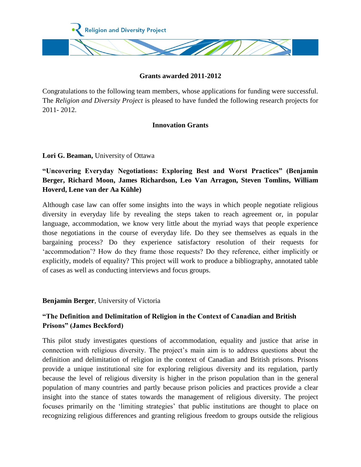

### **Grants awarded 2011-2012**

Congratulations to the following team members, whose applications for funding were successful. The *Religion and Diversity Project* is pleased to have funded the following research projects for 2011- 2012.

### **Innovation Grants**

**Lori G. Beaman,** University of Ottawa

**"Uncovering Everyday Negotiations: Exploring Best and Worst Practices" (Benjamin Berger, Richard Moon, James Richardson, Leo Van Arragon, Steven Tomlins, William Hoverd, Lene van der Aa Kühle)**

Although case law can offer some insights into the ways in which people negotiate religious diversity in everyday life by revealing the steps taken to reach agreement or, in popular language, accommodation, we know very little about the myriad ways that people experience those negotiations in the course of everyday life. Do they see themselves as equals in the bargaining process? Do they experience satisfactory resolution of their requests for 'accommodation'? How do they frame those requests? Do they reference, either implicitly or explicitly, models of equality? This project will work to produce a bibliography, annotated table of cases as well as conducting interviews and focus groups.

**Benjamin Berger**, University of Victoria

## **"The Definition and Delimitation of Religion in the Context of Canadian and British Prisons" (James Beckford)**

This pilot study investigates questions of accommodation, equality and justice that arise in connection with religious diversity. The project's main aim is to address questions about the definition and delimitation of religion in the context of Canadian and British prisons. Prisons provide a unique institutional site for exploring religious diversity and its regulation, partly because the level of religious diversity is higher in the prison population than in the general population of many countries and partly because prison policies and practices provide a clear insight into the stance of states towards the management of religious diversity. The project focuses primarily on the 'limiting strategies' that public institutions are thought to place on recognizing religious differences and granting religious freedom to groups outside the religious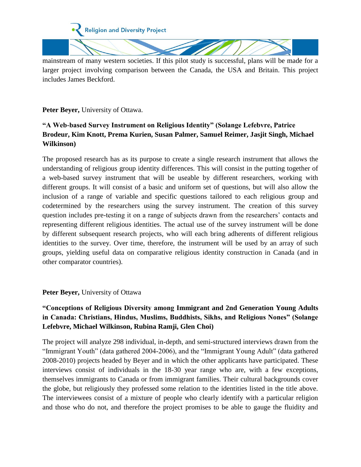

mainstream of many western societies. If this pilot study is successful, plans will be made for a larger project involving comparison between the Canada, the USA and Britain. This project includes James Beckford.

**Peter Beyer,** University of Ottawa.

# **"A Web-based Survey Instrument on Religious Identity" (Solange Lefebvre, Patrice Brodeur, Kim Knott, Prema Kurien, Susan Palmer, Samuel Reimer, Jasjit Singh, Michael Wilkinson)**

The proposed research has as its purpose to create a single research instrument that allows the understanding of religious group identity differences. This will consist in the putting together of a web-based survey instrument that will be useable by different researchers, working with different groups. It will consist of a basic and uniform set of questions, but will also allow the inclusion of a range of variable and specific questions tailored to each religious group and codetermined by the researchers using the survey instrument. The creation of this survey question includes pre-testing it on a range of subjects drawn from the researchers' contacts and representing different religious identities. The actual use of the survey instrument will be done by different subsequent research projects, who will each bring adherents of different religious identities to the survey. Over time, therefore, the instrument will be used by an array of such groups, yielding useful data on comparative religious identity construction in Canada (and in other comparator countries).

#### **Peter Beyer,** University of Ottawa

## **"Conceptions of Religious Diversity among Immigrant and 2nd Generation Young Adults in Canada: Christians, Hindus, Muslims, Buddhists, Sikhs, and Religious Nones" (Solange Lefebvre, Michael Wilkinson, Rubina Ramji, Glen Choi)**

The project will analyze 298 individual, in-depth, and semi-structured interviews drawn from the "Immigrant Youth" (data gathered 2004-2006), and the "Immigrant Young Adult" (data gathered 2008-2010) projects headed by Beyer and in which the other applicants have participated. These interviews consist of individuals in the 18-30 year range who are, with a few exceptions, themselves immigrants to Canada or from immigrant families. Their cultural backgrounds cover the globe, but religiously they professed some relation to the identities listed in the title above. The interviewees consist of a mixture of people who clearly identify with a particular religion and those who do not, and therefore the project promises to be able to gauge the fluidity and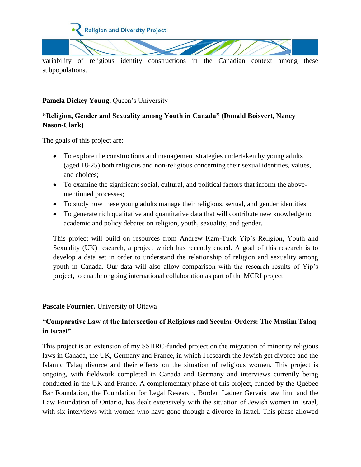

variability of religious identity constructions in the Canadian context among these subpopulations.

### **Pamela Dickey Young, Queen's University**

# **"Religion, Gender and Sexuality among Youth in Canada" (Donald Boisvert, Nancy Nason-Clark)**

The goals of this project are:

- To explore the constructions and management strategies undertaken by young adults (aged 18-25) both religious and non-religious concerning their sexual identities, values, and choices;
- To examine the significant social, cultural, and political factors that inform the abovementioned processes;
- To study how these young adults manage their religious, sexual, and gender identities;
- To generate rich qualitative and quantitative data that will contribute new knowledge to academic and policy debates on religion, youth, sexuality, and gender.

This project will build on resources from Andrew Kam-Tuck Yip's Religion, Youth and Sexuality (UK) research, a project which has recently ended. A goal of this research is to develop a data set in order to understand the relationship of religion and sexuality among youth in Canada. Our data will also allow comparison with the research results of Yip's project, to enable ongoing international collaboration as part of the MCRI project.

### **Pascale Fournier,** University of Ottawa

## **"Comparative Law at the Intersection of Religious and Secular Orders: The Muslim Talaq in Israel"**

This project is an extension of my SSHRC-funded project on the migration of minority religious laws in Canada, the UK, Germany and France, in which I research the Jewish get divorce and the Islamic Talaq divorce and their effects on the situation of religious women. This project is ongoing, with fieldwork completed in Canada and Germany and interviews currently being conducted in the UK and France. A complementary phase of this project, funded by the Québec Bar Foundation, the Foundation for Legal Research, Borden Ladner Gervais law firm and the Law Foundation of Ontario, has dealt extensively with the situation of Jewish women in Israel, with six interviews with women who have gone through a divorce in Israel. This phase allowed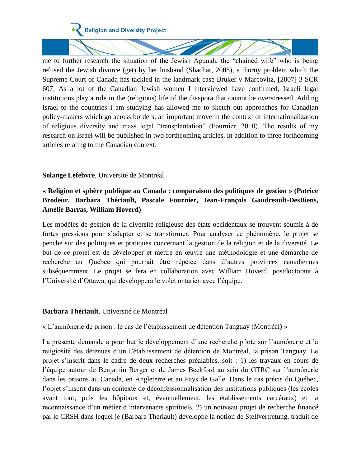

me to further research the situation of the Jewish Agunah, the "chained wife" who is being refused the Jewish divorce (get) by her husband (Shachar, 2008), a thorny problem which the Supreme Court of Canada has tackled in the landmark case Bruker v Marcovitz, [2007] 3 SCR 607. As a lot of the Canadian Jewish women I interviewed have confirmed, Israeli legal institutions play a role in the (religious) life of the diaspora that cannot be overstressed. Adding Israel to the countries I am studying has allowed me to sketch out approaches for Canadian policy-makers which go across borders, an important move in the context of internationalization of religious diversity and mass legal "transplantation" (Fournier, 2010). The results of my research on Israel will be published in two forthcoming articles, in addition to three forthcoming articles relating to the Canadian context.

### **Solange Lefebvre**, Université de Montréal

## **« Religion et sphère publique au Canada : comparaison des politiques de gestion » (Patrice Brodeur, Barbara Thériault, Pascale Fournier, Jean-François Gaudreault-DesBiens, Amélie Barras, William Hoverd)**

Les modèles de gestion de la diversité religieuse des états occidentaux se trouvent soumis à de fortes pressions pour s'adapter et se transformer. Pour analyser ce phénomène, le projet se penche sur des politiques et pratiques concernant la gestion de la religion et de la diversité. Le but de ce projet est de développer et mettre en œuvre une méthodologie et une démarche de recherche au Québec qui pourrait être répétée dans d'autres provinces canadiennes subséquemment. Le projet se fera en collaboration avec William Hoverd, postdoctorant à l'Université d'Ottawa, qui développera le volet ontarien avec l'équipe.

#### **Barbara Thériault**, Université de Montréal

« L'aumônerie de prison : le cas de l'établissement de détention Tanguay (Montréal) »

La présente demande a pour but le développement d'une recherche pilote sur l'aumônerie et la religiosité des détenues d'un l'établissement de détention de Montréal, la prison Tanguay. Le projet s'inscrit dans le cadre de deux recherches préalables, soit : 1) les travaux en cours de l'équipe autour de Benjamin Berger et de James Beckford au sein du GTRC sur l'aumônerie dans les prisons au Canada, en Angleterre et au Pays de Galle. Dans le cas précis du Québec, l'objet s'inscrit dans un contexte de déconfessionnalisation des institutions publiques (les écoles avant tout, puis les hôpitaux et, éventuellement, les établissements carcéraux) et la reconnaissance d'un métier d'intervenants spirituels. 2) un nouveau projet de recherche financé par le CRSH dans lequel je (Barbara Thériault) développe la notion de Stellvertretung, traduit de